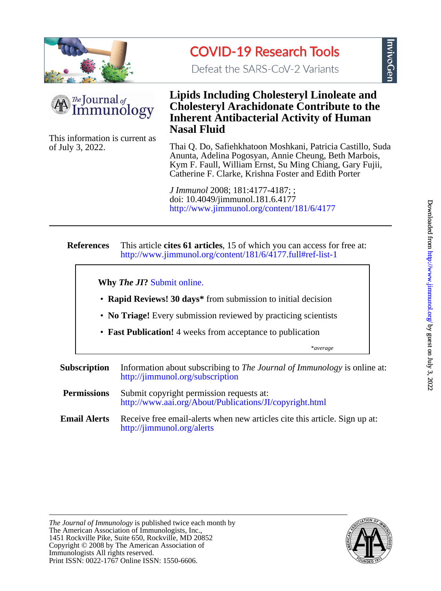



Defeat the SARS-CoV-2 Variants



of July 3, 2022. This information is current as

# **Nasal Fluid Inherent Antibacterial Activity of Human Cholesteryl Arachidonate Contribute to the Lipids Including Cholesteryl Linoleate and**

Catherine F. Clarke, Krishna Foster and Edith Porter Kym F. Faull, William Ernst, Su Ming Chiang, Gary Fujii, Anunta, Adelina Pogosyan, Annie Cheung, Beth Marbois, Thai Q. Do, Safiehkhatoon Moshkani, Patricia Castillo, Suda

<http://www.jimmunol.org/content/181/6/4177> doi: 10.4049/jimmunol.181.6.4177 *J Immunol* 2008; 181:4177-4187; ;

#### **References** <http://www.jimmunol.org/content/181/6/4177.full#ref-list-1> This article **cites 61 articles**, 15 of which you can access for free at:

**Why** *The JI***?** [Submit online.](https://ji.msubmit.net)

- **Rapid Reviews! 30 days\*** from submission to initial decision
- **No Triage!** Every submission reviewed by practicing scientists
- **Fast Publication!** 4 weeks from acceptance to publication

\**average*

- **Subscription** <http://jimmunol.org/subscription> Information about subscribing to *The Journal of Immunology* is online at:
- **Permissions** <http://www.aai.org/About/Publications/JI/copyright.html> Submit copyright permission requests at:
- **Email Alerts** <http://jimmunol.org/alerts> Receive free email-alerts when new articles cite this article. Sign up at:

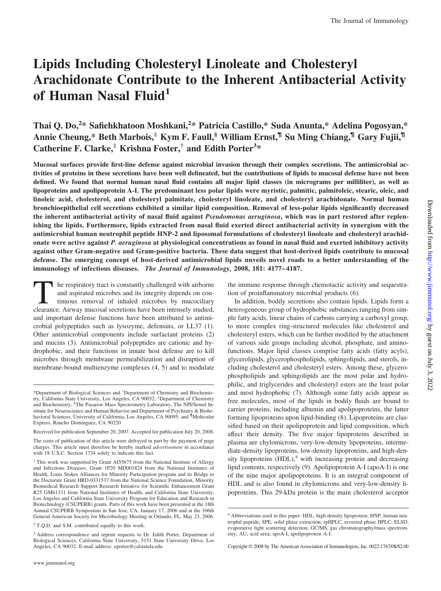# **Lipids Including Cholesteryl Linoleate and Cholesteryl Arachidonate Contribute to the Inherent Antibacterial Activity of Human Nasal Fluid1**

# Thai Q. Do,<sup>2</sup>\* Safiehkhatoon Moshkani,<sup>2</sup>\* Patricia Castillo,\* Suda Anunta,\* Adelina Pogosyan,\* **Annie Cheung,\* Beth Marbois,‡ Kym F. Faull,§ William Ernst,¶ Su Ming Chiang,¶ Gary Fujii,¶ Catherine F. Clarke,‡ Krishna Foster,† and Edith Porter3 \***

**Mucosal surfaces provide first-line defense against microbial invasion through their complex secretions. The antimicrobial activities of proteins in these secretions have been well delineated, but the contributions of lipids to mucosal defense have not been defined. We found that normal human nasal fluid contains all major lipid classes (in micrograms per milliliter), as well as lipoproteins and apolipoprotein A-I. The predominant less polar lipids were myristic, palmitic, palmitoleic, stearic, oleic, and linoleic acid, cholesterol, and cholesteryl palmitate, cholesteryl linoleate, and cholesteryl arachidonate. Normal human bronchioepithelial cell secretions exhibited a similar lipid composition. Removal of less-polar lipids significantly decreased the inherent antibacterial activity of nasal fluid against** *Pseudomonas aeruginosa***, which was in part restored after replenishing the lipids. Furthermore, lipids extracted from nasal fluid exerted direct antibacterial activity in synergism with the antimicrobial human neutrophil peptide HNP-2 and liposomal formulations of cholesteryl linoleate and cholesteryl arachidonate were active against** *P. aeruginosa* **at physiological concentrations as found in nasal fluid and exerted inhibitory activity against other Gram-negative and Gram-positive bacteria. These data suggest that host-derived lipids contribute to mucosal defense. The emerging concept of host-derived antimicrobial lipids unveils novel roads to a better understanding of the immunology of infectious diseases.** *The Journal of Immunology,* **2008, 181: 4177– 4187.**

I he respiratory tract is constantly challenged with airborne and aspirated microbes and its integrity depends on continuous removal of inhaled microbes by mucociliary clearance. Airway mucosal secretions have been intensely studied, and important defense functions have been attributed to antimicrobial polypeptides such as lysozyme, defensins, or LL37 (1). Other antimicrobial components include surfactant proteins (2) and mucins (3). Antimicrobial polypeptides are cationic and hydrophobic, and their functions in innate host defense are to kill microbes through membrane permeabilization and disruption of membrane-bound multienzyme complexes (4, 5) and to modulate the immune response through chemotactic activity and sequestration of proinflammatory microbial products (6).

In addition, bodily secretions also contain lipids. Lipids form a heterogeneous group of hydrophobic substances ranging from simple fatty acids, linear chains of carbons carrying a carboxyl group, to more complex ring-structured molecules like cholesterol and cholesteryl esters, which can be further modified by the attachment of various side groups including alcohol, phosphate, and aminofunctions. Major lipid classes comprise fatty acids (fatty acyls), glycerolipids, glycerophospholipids, sphingolipids, and sterols, including cholesterol and cholesteryl esters. Among these, glycerophospholipids and sphingolipids are the most polar and hydrophilic, and triglycerides and cholesteryl esters are the least polar and most hydrophobic (7). Although some fatty acids appear as free molecules, most of the lipids in bodily fluids are bound to carrier proteins, including albumin and apolipoproteins, the latter forming lipoproteins upon lipid-binding (8). Lipoproteins are classified based on their apolipoprotein and lipid composition, which affect their density. The five major lipoproteins described in plasma are chylomicrons, very-low-density lipoproteins, intermediate-density lipoproteins, low-density lipoproteins, and high-density lipoproteins  $(HDL)$ ,<sup>4</sup> with increasing protein and decreasing lipid contents, respectively (9). Apolipoprotein A-I (apoA-I) is one of the nine major apolipoproteins. It is an integral component of HDL and is also found in chylomicrons and very-low-density lipoproteins. This 29-kDa protein is the main cholesterol acceptor

<sup>\*</sup>Department of Biological Sciences and † Department of Chemistry and Biochemistry, California State University, Los Angeles, CA 90032; ‡ Department of Chemistry and Biochemistry, <sup>§</sup>The Pasarow Mass Spectrometry Laboratory, The NPI/Semel Institute for Neuroscience and Human Behavior and Department of Psychiatry & Biobe-havioral Sciences, University of California, Los Angeles, CA 90095; and ¶ Molecular Express, Rancho Dominguez, CA 90220

Received for publication September 20, 2007. Accepted for publication July 20, 2008.

The costs of publication of this article were defrayed in part by the payment of page charges. This article must therefore be hereby marked *advertisement* in accordance with 18 U.S.C. Section 1734 solely to indicate this fact.

<sup>&</sup>lt;sup>1</sup> This work was supported by Grant AI55675 from the National Institute of Allergy and Infectious Diseases, Grant 1P20 MD001824 from the National Institutes of Health, Louis Stokes Alliances for Minority Participation program and its Bridge to the Doctorate Grant HRD-0331537 from the National Science Foundation, Minority Biomedical Research Support Research Initiative for Scientific Enhancement Grant R25 GM61331 from National Institutes of Health, and California State University, Los Angeles and California State University Program for Education and Research in Biotechnology (CSUPERB) grants. Parts of this work have been presented at the 18th Annual CSUPERB Symposium in San Jose, CA, January 17, 2006 and at the 106th General American Society for Microbiology Meeting in Orlando, FL, May 23, 2006.

<sup>&</sup>lt;sup>2</sup> T.Q.D. and S.M. contributed equally to this work.

<sup>&</sup>lt;sup>3</sup> Address correspondence and reprint requests to Dr. Edith Porter, Department of Biological Sciences, California State University, 5151 State University Drive, Los Angeles, CA 90032. E-mail address: eporter@calstatela.edu

<sup>4</sup> Abbreviations used in this paper: HDL, high-density lipoprotein; HNP, human neutrophil peptide; SPE, solid phase extraction; rpHPLC, reversed phase HPLC; ELSD, evaporative light scattering detection; GC/MS, gas chromatography/mass spectrometry; AU, acid urea; apoA-I, apolipoprotein A-I.

Copyright © 2008 by The American Association of Immunologists, Inc. 0022-1767/08/\$2.00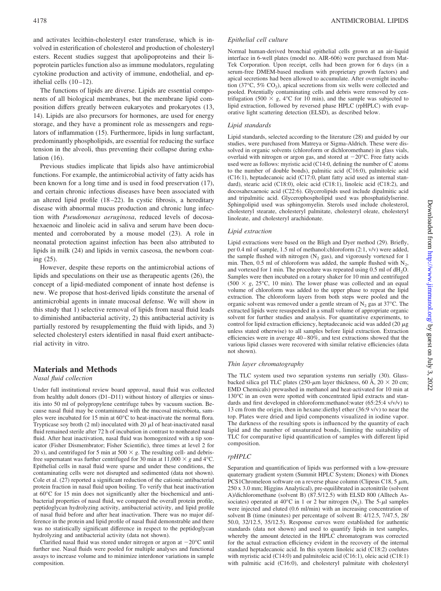and activates lecithin-cholesteryl ester transferase, which is involved in esterification of cholesterol and production of cholesteryl esters. Recent studies suggest that apolipoproteins and their lipoprotein particles function also as immune modulators, regulating cytokine production and activity of immune, endothelial, and epithelial cells  $(10-12)$ .

The functions of lipids are diverse. Lipids are essential components of all biological membranes, but the membrane lipid composition differs greatly between eukaryotes and prokaryotes (13, 14). Lipids are also precursors for hormones, are used for energy storage, and they have a prominent role as messengers and regulators of inflammation (15). Furthermore, lipids in lung surfactant, predominantly phospholipids, are essential for reducing the surface tension in the alveoli, thus preventing their collapse during exhalation (16).

Previous studies implicate that lipids also have antimicrobial functions. For example, the antimicrobial activity of fatty acids has been known for a long time and is used in food preservation (17), and certain chronic infectious diseases have been associated with an altered lipid profile (18 –22). In cystic fibrosis, a hereditary disease with abnormal mucus production and chronic lung infection with *Pseudomonas aeruginosa*, reduced levels of docosahexaenoic and linoleic acid in saliva and serum have been documented and corroborated by a mouse model (23). A role in neonatal protection against infection has been also attributed to lipids in milk (24) and lipids in vernix caseosa, the newborn coating (25).

However, despite these reports on the antimicrobial actions of lipids and speculations on their use as therapeutic agents (26), the concept of a lipid-mediated component of innate host defense is new. We propose that host-derived lipids constitute the arsenal of antimicrobial agents in innate mucosal defense. We will show in this study that 1) selective removal of lipids from nasal fluid leads to diminished antibacterial activity, 2) this antibacterial activity is partially restored by resupplementing the fluid with lipids, and 3) selected cholesteryl esters identified in nasal fluid exert antibacterial activity in vitro.

# **Materials and Methods**

# *Nasal fluid collection*

Under full institutional review board approval, nasal fluid was collected from healthy adult donors (D1–D11) without history of allergies or sinusitis into 50 ml of polypropylene centrifuge tubes by vacuum suction. Because nasal fluid may be contaminated with the mucosal microbiota, samples were incubated for 15 min at 60°C to heat-inactivate the normal flora. Trypticase soy broth (2 ml) inoculated with 20  $\mu$ l of heat-inactivated nasal fluid remained sterile after 72 h of incubation in contrast to nonheated nasal fluid. After heat inactivation, nasal fluid was homogenized with a tip sonicator (Fisher Dismembrator; Fisher Scientific), three times at level 2 for 20 s), and centrifuged for 5 min at 500  $\times$  g. The resulting cell- and debrisfree supernatant was further centrifuged for 30 min at  $11,000 \times g$  and  $4^{\circ}$ C. Epithelial cells in nasal fluid were sparse and under these conditions, the contaminating cells were not disrupted and sedimented (data not shown). Cole et al. (27) reported a significant reduction of the cationic antibacterial protein fraction in nasal fluid upon boiling. To verify that heat inactivation at 60°C for 15 min does not significantly alter the biochemical and antibacterial properties of nasal fluid, we compared the overall protein profile, peptidoglycan hydrolyzing activity, antibacterial activity, and lipid profile of nasal fluid before and after heat inactivation. There was no major difference in the protein and lipid profile of nasal fluid demonstrable and there was no statistically significant difference in respect to the peptidoglycan hydrolyzing and antibacterial activity (data not shown).

Clarified nasal fluid was stored under nitrogen or argon at  $-20^{\circ}$ C until further use. Nasal fluids were pooled for multiple analyses and functional assays to increase volume and to minimize interdonor variations in sample composition.

# *Epithelial cell culture*

Normal human-derived bronchial epithelial cells grown at an air-liquid interface in 6-well plates (model no. AIR-606) were purchased from Mat-Tek Corporation. Upon receipt, cells had been grown for 6 days (in a serum-free DMEM-based medium with proprietary growth factors) and apical secretions had been allowed to accumulate. After overnight incubation (37 $\degree$ C, 5% CO<sub>2</sub>), apical secretions from six wells were collected and pooled. Potentially contaminating cells and debris were removed by centrifugation (500  $\times$  g, 4°C for 10 min), and the sample was subjected to lipid extraction, followed by reversed phase HPLC (rpHPLC) with evaporative light scattering detection (ELSD), as described below.

# *Lipid standards*

Lipid standards, selected according to the literature (28) and guided by our studies, were purchased from Matreya or Sigma-Aldrich. These were dissolved in organic solvents (chloroform or dichloromethane) in glass vials, overlaid with nitrogen or argon gas, and stored at  $-20^{\circ}$ C. Free fatty acids used were as follows: myristic acid (C14:0, defining the number of C atoms to the number of double bonds), palmitic acid (C16:0), palmitoleic acid (C16:1), heptadecanoic acid (C17:0, plant fatty acid used as internal standard), stearic acid (C18:0), oleic acid (C18:1), linoleic acid (C18:2), and docosahexaenoic acid (C22:6). Glycerolipids used include dipalmitic acid and tripalmitic acid. Glycerophospholipid used was phosphatidylserine. Sphingolipid used was sphingomyelin. Sterols used include cholesterol, cholesteryl stearate, cholesteryl palmitate, cholesteryl oleate, cholesteryl linoleate, and cholesteryl arachidonate.

# *Lipid extraction*

Lipid extractions were based on the Bligh and Dyer method (29). Briefly, per 0.4 ml of sample, 1.5 ml of methanol:chloroform (2:1, v/v) were added, the sample flushed with nitrogen  $(N_2$  gas), and vigorously vortexed for 1 min. Then, 0.5 ml of chloroform was added, the sample flushed with  $N_2$ , and vortexed for 1 min. The procedure was repeated using  $0.5$  ml of  $dH<sub>2</sub>O$ . Samples were then incubated on a rotary shaker for 10 min and centrifuged  $(500 \times g, 25^{\circ}\text{C}, 10 \text{ min})$ . The lower phase was collected and an equal volume of chloroform was added to the upper phase to repeat the lipid extraction. The chloroform layers from both steps were pooled and the organic solvent was removed under a gentle stream of  $N_2$  gas at 37°C. The extracted lipids were resuspended in a small volume of appropriate organic solvent for further studies and analysis. For quantitative experiments, to control for lipid extraction efficiency, heptadecanoic acid was added (20  $\mu$ g) unless stated otherwise) to all samples before lipid extraction. Extraction efficiencies were in average 40 – 80%, and test extractions showed that the various lipid classes were recovered with similar relative efficiencies (data not shown).

# *Thin layer chromatography*

The TLC system used two separation systems run serially (30). Glassbacked silica gel TLC plates (250- $\mu$ m layer thickness, 60 Å, 20  $\times$  20 cm; EMD Chemicals) prewashed in methanol and heat-activated for 10 min at 130°C in an oven were spotted with concentrated lipid extracts and standards and first developed in chloroform:methanol:water (65:25:4 v/v/v) to 13 cm from the origin, then in hexane:diethyl ether (36:9 v/v) to near the top. Plates were dried and lipid components visualized in iodine vapor. The darkness of the resulting spots is influenced by the quantity of each lipid and the number of unsaturated bonds, limiting the suitability of TLC for comparative lipid quantification of samples with different lipid composition.

# *rpHPLC*

Separation and quantification of lipids was performed with a low-pressure quaternary gradient system (Summit HPLC System; Dionex) with Dionex PCS1Chromeleon software on a reverse phase column (Clipeus C18,  $5 \mu m$ , 250 x 3.0 mm; Higgins Analytical), pre-equilibrated in acetonitrile (solvent A)/dichloromethane (solvent B) (87.5/12.5) with ELSD 800 (Alltech Associates) operated at 40°C in 1 or 2 bar nitrogen  $(N_2)$ . The 5- $\mu$ l samples were injected and eluted (0.6 ml/min) with an increasing concentration of solvent B (time (minutes) per percentage of solvent B: 4/12.5, 7/47.5, 28/ 50.0, 32/12.5, 35/12.5). Response curves were established for authentic standards (data not shown) and used to quantify lipids in test samples, whereby the amount detected in the HPLC chromatogram was corrected for the actual extraction efficiency evident in the recovery of the internal standard heptadecanoic acid. In this system linoleic acid (C18:2) coelutes with myristic acid (C14:0) and palmitoleic acid (C16:1), oleic acid (C18:1) with palmitic acid (C16:0), and cholesteryl palmitate with cholesteryl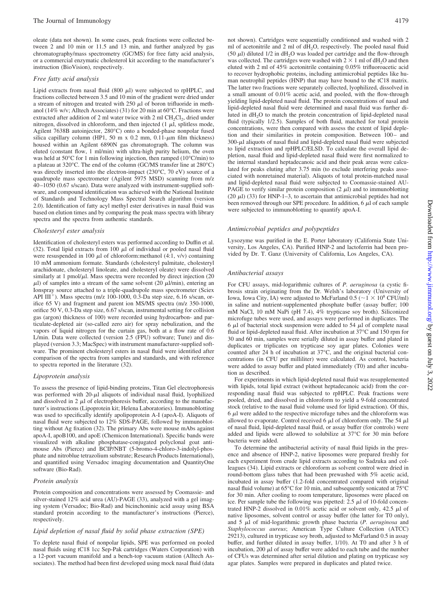oleate (data not shown). In some cases, peak fractions were collected between 2 and 10 min or 11.5 and 13 min, and further analyzed by gas chromatography/mass spectrometry (GC/MS) for free fatty acid analysis, or a commercial enzymatic cholesterol kit according to the manufacturer's instruction (BioVision), respectively.

#### *Free fatty acid analysis*

Lipid extracts from nasal fluid  $(800 \mu l)$  were subjected to rpHPLC, and fractions collected between 3.5 and 10 min of the gradient were dried under a stream of nitrogen and treated with  $250 \mu l$  of boron trifluoride in methanol (14% w/v; Alltech Associates) (31) for 20 min at 60°C. Fractions were extracted after addition of 2 ml water twice with 2 ml  $CH_2Cl_2$ , dried under nitrogen, dissolved in chloroform, and then injected  $(1 \mu l,$  splitless mode, Agilent 7638B autoinjector, 280°C) onto a bonded-phase nonpolar fused silica capillary column (HP1, 50 m x 0.2 mm, 0.11- $\mu$ m film thickness) housed within an Agilent 6890N gas chromatograph. The column was eluted (constant flow, 1 ml/min) with ultra-high purity helium, the oven was held at 50°C for 1 min following injection, then ramped (10°C/min) to a plateau at 320°C. The end of the column (GC/MS transfer line at 280°C) was directly inserted into the electron-impact (230°C, 70 eV) source of a quadrupole mass spectrometer (Agilent 5975 MSD) scanning from m/z 40 –1050 (0.67 s/scan). Data were analyzed with instrument-supplied software, and compound identification was achieved with the National Institute of Standards and Technology Mass Spectral Search algorithm (version 2.0). Identification of fatty acyl methyl ester derivatives in nasal fluid was based on elution times and by comparing the peak mass spectra with library spectra and the spectra from authentic standards.

#### *Cholesteryl ester analysis*

Identification of cholesteryl esters was performed according to Duffin et al. (32). Total lipid extracts from 100  $\mu$ l of individual or pooled nasal fluid were resuspended in 100  $\mu$ l of chloroform:methanol (4:1, v/v) containing 10 mM ammonium formate. Standards (cholesteryl palmitate, cholesteryl arachidonate, cholesteryl linoleate, and cholesteryl oleate) were dissolved similarly at 1 pmol/ $\mu$ l. Mass spectra were recorded by direct injection (20  $\mu$ l) of samples into a stream of the same solvent (20  $\mu$ l/min), entering an Ionspray source attached to a triple-quadrupole mass spectrometer (Sciex API  $III<sup>+</sup>$ ). Mass spectra (m/z 100-1000, 0.3-Da step size, 6.16 s/scan, orifice 65 V) and fragment and parent ion MS/MS spectra (m/z 350-1000, orifice 50 V, 0.3-Da step size, 6.67 s/scan, instrumental setting for collision gas (argon) thickness of 100) were recorded using hydrocarbon- and particulate-depleted air (so-called zero air) for spray nebulization, and the vapors of liquid nitrogen for the curtain gas, both at a flow rate of 0.6 L/min. Data were collected (version 2.5 (FPU) software; Tune) and displayed (version 3.3; MacSpec) with instrument manufacturer-supplied software. The prominent cholesteryl esters in nasal fluid were identified after comparison of the spectra from samples and standards, and with reference to spectra reported in the literature (32).

#### *Lipoprotein analysis*

To assess the presence of lipid-binding proteins, Titan Gel electrophoresis was performed with  $20-\mu l$  aliquots of individual nasal fluid, lyophilized and dissolved in 2  $\mu$ l of electrophoresis buffer, according to the manufacturer's instructions (Lipoprotein kit; Helena Laboratories). Immunoblotting was used to specifically identify apolipoprotein A-I (apoA-I). Aliquots of nasal fluid were subjected to 12% SDS-PAGE, followed by immunoblotting without Ag fixation (32). The primary Abs were mouse mAbs against apoA-I, apoB100, and apoE (Chemicon International). Specific bands were visualized with alkaline phosphatase-conjugated polyclonal goat antimouse Abs (Pierce) and BCIP/NBT (5-bromo-4-chloro-3-indolyl-phosphate and nitroblue tetrazolium substrate; Research Products International), and quantified using Versadoc imaging documentation and QuantityOne software (Bio-Rad).

# *Protein analysis*

Protein composition and concentrations were assessed by Coomassie- and silver-stained 12% acid urea (AU)-PAGE (33), analyzed with a gel imaging system (Versadoc; Bio-Rad) and bicinchoninic acid assay using BSA standard protein according to the manufacturer's instructions (Pierce), respectively.

#### *Lipid depletion of nasal fluid by solid phase extraction (SPE)*

To deplete nasal fluid of nonpolar lipids, SPE was performed on pooled nasal fluids using tC18 1cc Sep-Pak cartridges (Waters Corporation) with a 12-port vacuum manifold and a bench-top vacuum station (Alltech Associates). The method had been first developed using mock nasal fluid (data not shown). Cartridges were sequentially conditioned and washed with 2 ml of acetonitrile and 2 ml of  $dH_2O$ , respectively. The pooled nasal fluid (50  $\mu$ l) diluted 1/2 in dH<sub>2</sub>O was loaded per cartridge and the flow-through was collected. The cartridges were washed with  $2 \times 1$  ml of  $dH_2O$  and then eluted with 2 ml of 45% acetonitrile containing 0.05% trifluoroacetic acid to recover hydrophobic proteins, including antimicrobial peptides like human neutrophil peptides (HNP) that may have bound to the tC18 matrix. The latter two fractions were separately collected, lyophilized, dissolved in a small amount of 0.01% acetic acid, and pooled, with the flow-through yielding lipid-depleted nasal fluid. The protein concentrations of nasal and lipid-depleted nasal fluid were determined and nasal fluid was further diluted in  $dH<sub>2</sub>O$  to match the protein concentration of lipid-depleted nasal fluid (typically 1/2.5). Samples of both fluid, matched for total protein concentrations, were then compared with assess the extent of lipid depletion and their similarities in protein composition. Between 100- and  $300-\mu$ l aliquots of nasal fluid and lipid-depleted nasal fluid were subjected to lipid extraction and rpHPLC/ELSD. To calculate the overall lipid depletion, nasal fluid and lipid-depleted nasal fluid were first normalized to the internal standard heptadecanoic acid and their peak areas were calculated for peaks eluting after 3.75 min (to exclude interfering peaks associated with nonretained material). Aliquots of total protein-matched nasal and lipid-depleted nasal fluid were subjected to Coomassie-stained AU-PAGE to verify similar protein composition  $(2 \mu l)$  and to immunoblotting (20  $\mu$ l) (33) for HNP-1–3, to ascertain that antimicrobial peptides had not been removed through our SPE procedure. In addition,  $6 \mu l$  of each sample were subjected to immunoblotting to quantify apoA-I.

#### *Antimicrobial peptides and polypeptides*

Lysozyme was purified in the E. Porter laboratory (California State University, Los Angeles, CA). Purified HNP-2 and lactoferrin had been provided by Dr. T. Ganz (University of California, Los Angeles, CA).

#### *Antibacterial assays*

For CFU assays, mid-logarithmic cultures of *P. aeruginosa* (a cystic fibrosis strain originating from the Dr. Welsh's laboratory (University of Iowa, Iowa City, IA) were adjusted to McFarland 0.5 ( $\sim$  1  $\times$  10<sup>8</sup> CFU/ml) in saline and nutrient-supplemented phosphate buffer (assay buffer; 100 mM NaCl, 10 mM NaPi (pH 7.4), 4% trypticase soy broth). Siliconized microfuge tubes were used, and assays were performed in duplicates. The 6  $\mu$ l of bacterial stock suspension were added to 54  $\mu$ l of complete nasal fluid or lipid-depleted nasal fluid. After incubation at 37°C and 150 rpm for 30 and 60 min, samples were serially diluted in assay buffer and plated in duplicates or triplicates on trypticase soy agar plates. Colonies were counted after 24 h of incubation at 37°C, and the original bacterial concentrations (in CFU per milliliter) were calculated. As control, bacteria were added to assay buffer and plated immediately (T0) and after incubation as described.

For experiments in which lipid-depleted nasal fluid was resupplemented with lipids, total lipid extract (without heptadecanoic acid) from the corresponding nasal fluid was subjected to rpHPLC. Peak fractions were pooled, dried, and dissolved in chloroform to yield a 9-fold concentrated stock (relative to the nasal fluid volume used for lipid extraction). Of this,  $6 \mu l$  were added to the respective microfuge tubes and the chloroform was allowed to evaporate. Control received 6  $\mu$ l of chloroform only. The 54  $\mu$ l of nasal fluid, lipid-depleted nasal fluid, or assay buffer (for controls) were added and lipids were allowed to solubilize at 37°C for 30 min before bacteria were added.

To determine the antibacterial activity of nasal fluid lipids in the presence and absence of HNP-2, native liposomes were prepared freshly for each experiment from crude lipid extracts according to Sadzuka and colleagues (34). Lipid extracts or chloroform as solvent control were dried in round-bottom glass tubes that had been prewashed with 5% acetic acid, incubated in assay buffer (1.2-fold concentrated compared with original nasal fluid volume) at 65°C for 10 min, and subsequently sonicated at 75°C for 30 min. After cooling to room temperature, liposomes were placed on ice. Per sample tube the following was pipetted:  $2.5 \mu l$  of 10-fold concentrated HNP-2 dissolved in 0.01% acetic acid or solvent only, 42.5  $\mu$ l of native liposomes, solvent control or assay buffer (the latter for T0 only), and 5  $\mu$ l of mid-logarithmic growth phase bacteria (*P. aeruginosa* and *Staphylococcus aureus*; American Type Culture Collection (ATCC) 29213), cultured in trypticase soy broth, adjusted to McFarland 0.5 in assay buffer, and further diluted in assay buffer, 1/10). At T0 and after 3 h of incubation, 200  $\mu$ l of assay buffer were added to each tube and the number of CFUs was determined after serial dilution and plating on trypticase soy agar plates. Samples were prepared in duplicates and plated twice.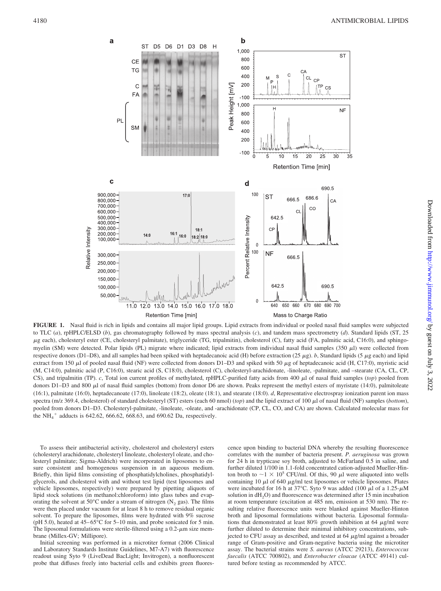

**FIGURE 1.** Nasal fluid is rich in lipids and contains all major lipid groups. Lipid extracts from individual or pooled nasal fluid samples were subjected to TLC (*a*), rpHPLC/ELSD (*b*), gas chromatography followed by mass spectral analysis (*c*), and tandem mass spectrometry (*d*). Standard lipids (ST, 25 g each), cholesteryl ester (CE, cholesteryl palmitate), triglyceride (TG, tripalmitin), cholesterol (C), fatty acid (FA, palmitic acid, C16:0), and sphingomyelin (SM) were detected. Polar lipids (PL) migrate where indicated; lipid extracts from individual nasal fluid samples (350  $\mu$ l) were collected from respective donors (D1–D8), and all samples had been spiked with heptadecanoic acid (H) before extraction (25  $\mu$ g). *b*, Standard lipids (5  $\mu$ g each) and lipid extract from 150  $\mu$ l of pooled nasal fluid (NF) were collected from donors D1–D3 and spiked with 50  $\mu$ g of heptadecanoic acid (H, C17:0), myristic acid (M, C14:0), palmitic acid (P, C16:0), stearic acid (S, C18:0), cholesterol (C), cholesteryl-arachidonate, -linoleate, -palmitate, and –stearate (CA, CL, CP, CS), and tripalmitin (TP).  $c$ , Total ion current profiles of methylated, rpHPLC-purified fatty acids from 400  $\mu$ l of nasal fluid samples (*top*) pooled from donors D1-D3 and 800  $\mu$ l of nasal fluid samples (bottom) from donor D6 are shown. Peaks represent the methyl esters of myristate (14:0), palmitoleate (16:1), palmitate (16:0), heptadecanoate (17:0), linoleate (18:2), oleate (18:1), and stearate (18:0). *d*, Representative electrospray ionization parent ion mass spectra (m/z 369.4, cholesterol) of standard cholesteryl (ST) esters (each 60 nmol) (*top*) and the lipid extract of 100 µl of nasal fluid (NF) samples (*bottom*), pooled from donors D1-D3. Cholesteryl-palmitate, -linoleate, -oleate, and -arachidonate (CP, CL, CO, and CA) are shown. Calculated molecular mass for the  $NH_4^+$  adducts is 642.62, 666.62, 668.63, and 690.62 Da, respectively.

To assess their antibacterial activity, cholesterol and cholesteryl esters (cholesteryl arachidonate, cholesteryl linoleate, cholesteryl oleate, and cholesteryl palmitate; Sigma-Aldrich) were incorporated in liposomes to ensure consistent and homogenous suspension in an aqueous medium. Briefly, thin lipid films consisting of phosphatidylcholines, phosphatidylglycerols, and cholesterol with and without test lipid (test liposomes and vehicle liposomes, respectively) were prepared by pipetting aliquots of lipid stock solutions (in methanol:chloroform) into glass tubes and evaporating the solvent at 50 $^{\circ}$ C under a stream of nitrogen (N<sub>2</sub> gas). The films were then placed under vacuum for at least 8 h to remove residual organic solvent. To prepare the liposomes, films were hydrated with 9% sucrose (pH 5.0), heated at  $45-65^{\circ}$ C for  $5-10$  min, and probe sonicated for 5 min. The liposomal formulations were sterile-filtered using a  $0.2$ - $\mu$ m size membrane (Millex-GV; Millipore).

Initial screening was performed in a microtiter format (2006 Clinical and Laboratory Standards Institute Guidelines, M7-A7) with fluorescence readout using Syto 9 (LiveDead BacLight; Invitrogen), a nonfluorescent probe that diffuses freely into bacterial cells and exhibits green fluores-

cence upon binding to bacterial DNA whereby the resulting fluorescence correlates with the number of bacteria present. *P. aeruginosa* was grown for 24 h in trypticase soy broth, adjusted to McFarland 0.5 in saline, and further diluted 1/100 in 1.1-fold concentrated cation-adjusted Mueller-Hinton broth to  $\sim$  1  $\times$  10<sup>5</sup> CFU/ml. Of this, 90  $\mu$ l were aliquoted into wells containing 10  $\mu$ l of 640  $\mu$ g/ml test liposomes or vehicle liposomes. Plates were incubated for 16 h at 37°C. Syto 9 was added (100  $\mu$ l of a 1.25- $\mu$ M solution in  $dH_2O$ ) and fluorescence was determined after 15 min incubation at room temperature (excitation at 485 nm, emission at 530 nm). The resulting relative fluorescence units were blanked against Mueller-Hinton broth and liposomal formulations without bacteria. Liposomal formulations that demonstrated at least 80% growth inhibition at 64  $\mu$ g/ml were further diluted to determine their minimal inhibitory concentrations, subjected to CFU assay as described, and tested at  $64 \mu g/ml$  against a broader range of Gram-positive and Gram-negative bacteria using the microtiter assay. The bacterial strains were *S. aureus* (ATCC 29213), *Enterococcus faecalis* (ATCC 700802), and *Enterobacter cloacae* (ATCC 49141) cultured before testing as recommended by ATCC.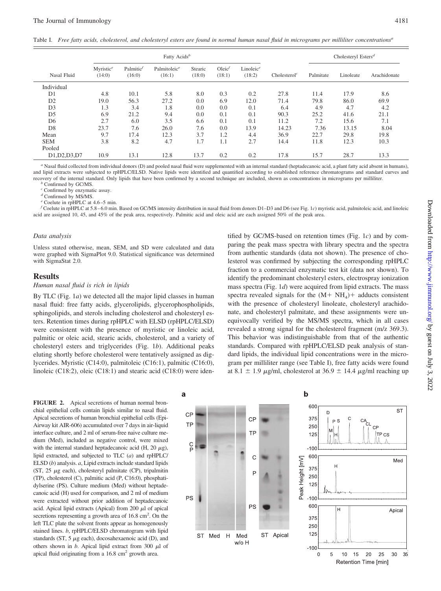Table I. *Free fatty acids, cholesterol, and cholesteryl esters are found in normal human nasal fluid in micrograms per milliliter concentrations<sup>a</sup>*

|                | Fatty Acids <sup>b</sup>        |                                 |                        |                   |                     |                                 |                          | Cholesteryl Esters <sup>d</sup> |           |              |
|----------------|---------------------------------|---------------------------------|------------------------|-------------------|---------------------|---------------------------------|--------------------------|---------------------------------|-----------|--------------|
| Nasal Fluid    | Myristic <sup>e</sup><br>(14:0) | Palmitic <sup>f</sup><br>(16:0) | Palmitoleice<br>(16:1) | Stearic<br>(18:0) | $Oleic^f$<br>(18:1) | Linoleic <sup>e</sup><br>(18:2) | Cholesterol <sup>c</sup> | Palmitate                       | Linoleate | Arachidonate |
| Individual     |                                 |                                 |                        |                   |                     |                                 |                          |                                 |           |              |
| D <sub>1</sub> | 4.8                             | 10.1                            | 5.8                    | 8.0               | 0.3                 | 0.2                             | 27.8                     | 11.4                            | 17.9      | 8.6          |
| D <sub>2</sub> | 19.0                            | 56.3                            | 27.2                   | 0.0               | 6.9                 | 12.0                            | 71.4                     | 79.8                            | 86.0      | 69.9         |
| D <sub>3</sub> | 1.3                             | 3.4                             | 1.8                    | 0.0               | 0.0                 | 0.1                             | 6.4                      | 4.9                             | 4.7       | 4.2          |
| D <sub>5</sub> | 6.9                             | 21.2                            | 9.4                    | 0.0               | 0.1                 | 0.1                             | 90.3                     | 25.2                            | 41.6      | 21.1         |
| D <sub>6</sub> | 2.7                             | 6.0                             | 3.5                    | 6.6               | 0.1                 | 0.1                             | 11.2                     | 7.2                             | 15.6      | 7.1          |
| D <sub>8</sub> | 23.7                            | 7.6                             | 26.0                   | 7.6               | 0.0                 | 13.9                            | 14.23                    | 7.36                            | 13.15     | 8.04         |
| Mean           | 9.7                             | 17.4                            | 12.3                   | 3.7               | 1.2                 | 4.4                             | 36.9                     | 22.7                            | 29.8      | 19.8         |
| <b>SEM</b>     | 3.8                             | 8.2                             | 4.7                    | 1.7               | 1.1                 | 2.7                             | 14.4                     | 11.8                            | 12.3      | 10.3         |
| Pooled         |                                 |                                 |                        |                   |                     |                                 |                          |                                 |           |              |
| D1, D2, D3, D7 | 10.9                            | 13.1                            | 12.8                   | 13.7              | 0.2                 | 0.2                             | 17.8                     | 15.7                            | 28.7      | 13.3         |

*<sup>a</sup>* Nasal fluid collected from individual donors (D) and pooled nasal fluid were supplemented with an internal standard (heptadecanoic acid, a plant fatty acid absent in humans), and lipid extracts were subjected to rpHPLC/ELSD. Native lipids were identified and quantified according to established reference chromatograms and standard curves and recovery of the internal standard. Only lipids that have been confirmed by a second technique are included, shown as concentrations in micrograms per milliliter. *<sup>b</sup>* Confirmed by GC/MS.

*<sup>c</sup>* Confirmed by enzymatic assay.

*<sup>d</sup>* Confirmed by MS/MS.

*<sup>e</sup>* Coelute in rpHPLC at 4.6 –5 min.

*f* Coelute in rpHPLC at 5.8 – 6.0 min. Based on GC/MS intensity distribution in nasal fluid from donors D1–D3 and D6 (see Fig. 1*c*) myristic acid, palmitoleic acid, and linoleic acid are assigned 10, 45, and 45% of the peak area, respectively. Palmitic acid and oleic acid are each assigned 50% of the peak area.

#### *Data analysis*

Unless stated otherwise, mean, SEM, and SD were calculated and data were graphed with SigmaPlot 9.0. Statistical significance was determined with SigmaStat 2.0.

# **Results**

# *Human nasal fluid is rich in lipids*

By TLC (Fig. 1*a*) we detected all the major lipid classes in human nasal fluid: free fatty acids, glycerolipids, glycerophospholipids, sphingolipids, and sterols including cholesterol and cholesteryl esters. Retention times during rpHPLC with ELSD (rpHPLC/ELSD) were consistent with the presence of myristic or linoleic acid, palmitic or oleic acid, stearic acids, cholesterol, and a variety of cholesteryl esters and triglycerides (Fig. 1*b*). Additional peaks eluting shortly before cholesterol were tentatively assigned as diglycerides. Myristic (C14:0), palmitoleic (C16:1), palmitic (C16:0), linoleic (C18:2), oleic (C18:1) and stearic acid (C18:0) were iden-

a

tified by GC/MS-based on retention times (Fig. 1*c*) and by comparing the peak mass spectra with library spectra and the spectra from authentic standards (data not shown). The presence of cholesterol was confirmed by subjecting the corresponding rpHPLC fraction to a commercial enzymatic test kit (data not shown). To identify the predominant cholesteryl esters, electrospray ionization mass spectra (Fig. 1*d*) were acquired from lipid extracts. The mass spectra revealed signals for the  $(M + NH<sub>4</sub>)$  adducts consistent with the presence of cholesteryl linoleate, cholesteryl arachidonate, and cholesteryl palmitate, and these assignments were unequivocally verified by the MS/MS spectra, which in all cases revealed a strong signal for the cholesterol fragment (m/z 369.3). This behavior was indistinguishable from that of the authentic standards. Compared with rpHPLC/ELSD peak analysis of standard lipids, the individual lipid concentrations were in the microgram per milliliter range (see Table I), free fatty acids were found at 8.1  $\pm$  1.9  $\mu$ g/ml, cholesterol at 36.9  $\pm$  14.4  $\mu$ g/ml reaching up

**FIGURE 2.** Apical secretions of human normal bronchial epithelial cells contain lipids similar to nasal fluid. Apical secretions of human bronchial epithelial cells (Epi-Airway kit AIR-606) accumulated over 7 days in air-liquid interface culture, and 2 ml of serum-free naive culture medium (Med), included as negative control, were mixed with the internal standard heptadecanoic acid (H, 20  $\mu$ g), lipid extracted, and subjected to TLC (*a*) and rpHPLC/ ELSD (*b*) analysis. *a*, Lipid extracts include standard lipids (ST,  $25 \mu$ g each), cholesteryl palmitate (CP), tripalmitin (TP), cholesterol (C), palmitic acid (P, C16:0), phosphatidylserine (PS). Culture medium (Med) without heptadecanoic acid (H) used for comparison, and 2 ml of medium were extracted without prior addition of heptadecanoic acid. Apical lipid extracts (Apical) from 200  $\mu$ l of apical secretions representing a growth area of  $16.8 \text{ cm}^2$ . On the left TLC plate the solvent fronts appear as homogenously stained lines. *b*, rpHPLC/ELSD chromatogram with lipid standards (ST,  $5 \mu$ g each), docosahexaenoic acid (D), and others shown in *b*. Apical lipid extract from 300  $\mu$ l of apical fluid originating from a  $16.8 \text{ cm}^2$  growth area.



**Retention Time [min]**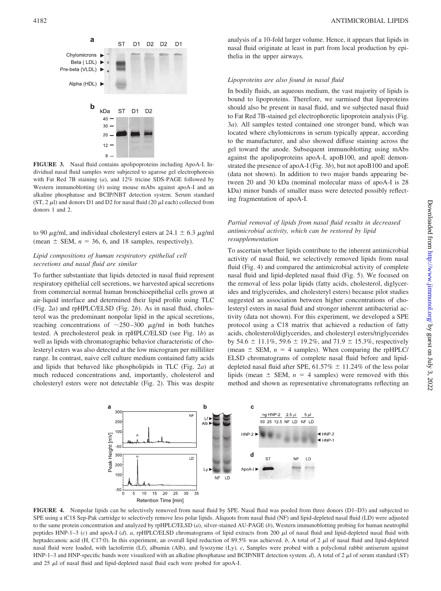

**FIGURE 3.** Nasal fluid contains apolipoproteins including ApoA-I. Individual nasal fluid samples were subjected to agarose gel electrophoresis with Fat Red 7B staining (*a*), and 12% tricine SDS-PAGE followed by Western immunoblotting (*b*) using mouse mAbs against apoA-I and an alkaline phosphatase and BCIP/NBT detection system. Serum standard (ST, 2  $\mu$ l) and donors D1 and D2 for nasal fluid (20  $\mu$ l each) collected from donors 1 and 2.

to 90  $\mu$ g/ml, and individual cholesteryl esters at 24.1  $\pm$  6.3  $\mu$ g/ml (mean  $\pm$  SEM,  $n = 36$ , 6, and 18 samples, respectively).

# *Lipid compositions of human respiratory epithelial cell secretions and nasal fluid are similar*

To further substantiate that lipids detected in nasal fluid represent respiratory epithelial cell secretions, we harvested apical secretions from commercial normal human bronchioepithelial cells grown at air-liquid interface and determined their lipid profile using TLC (Fig. 2*a*) and rpHPLC/ELSD (Fig. 2*b*). As in nasal fluid, cholesterol was the predominant nonpolar lipid in the apical secretions, reaching concentrations of  $\sim$ 250-300  $\mu$ g/ml in both batches tested. A precholesterol peak in rpHPLC/ELSD (see Fig. 1*b*) as well as lipids with chromatographic behavior characteristic of cholesteryl esters was also detected at the low microgram per milliliter range. In contrast, naive cell culture medium contained fatty acids and lipids that behaved like phospholipids in TLC (Fig. 2*a*) at much reduced concentrations and, importantly, cholesterol and cholesteryl esters were not detectable (Fig. 2). This was despite

analysis of a 10-fold larger volume. Hence, it appears that lipids in nasal fluid originate at least in part from local production by epithelia in the upper airways.

# *Lipoproteins are also found in nasal fluid*

In bodily fluids, an aqueous medium, the vast majority of lipids is bound to lipoproteins. Therefore, we surmised that lipoproteins should also be present in nasal fluid, and we subjected nasal fluid to Fat Red 7B-stained gel electrophoretic lipoprotein analysis (Fig. 3*a*). All samples tested contained one stronger band, which was located where chylomicrons in serum typically appear, according to the manufacturer, and also showed diffuse staining across the gel toward the anode. Subsequent immunoblotting using mAbs against the apolipoproteins apoA-I, apoB100, and apoE demonstrated the presence of apoA-I (Fig. 3*b*), but not apoB100 and apoE (data not shown). In addition to two major bands appearing between 20 and 30 kDa (nominal molecular mass of apoA-I is 28 kDa) minor bands of smaller mass were detected possibly reflecting fragmentation of apoA-I.

# *Partial removal of lipids from nasal fluid results in decreased antimicrobial activity, which can be restored by lipid resupplementation*

To ascertain whether lipids contribute to the inherent antimicrobial activity of nasal fluid, we selectively removed lipids from nasal fluid (Fig. 4) and compared the antimicrobial activity of complete nasal fluid and lipid-depleted nasal fluid (Fig. 5). We focused on the removal of less polar lipids (fatty acids, cholesterol, diglycerides and triglycerides, and cholesteryl esters) because pilot studies suggested an association between higher concentrations of cholesteryl esters in nasal fluid and stronger inherent antibacterial activity (data not shown). For this experiment, we developed a SPE protocol using a C18 matrix that achieved a reduction of fatty acids, cholesterol/diglycerides, and cholesteryl esters/triglycerides by 54.6  $\pm$  11.1%, 59.6  $\pm$  19.2%, and 71.9  $\pm$  15.3%, respectively (mean  $\pm$  SEM,  $n = 4$  samples). When comparing the rpHPLC/ ELSD chromatograms of complete nasal fluid before and lipiddepleted nasal fluid after SPE, 61.57%  $\pm$  11.24% of the less polar lipids (mean  $\pm$  SEM,  $n = 4$  samples) were removed with this method and shown as representative chromatograms reflecting an



**FIGURE 4.** Nonpolar lipids can be selectively removed from nasal fluid by SPE. Nasal fluid was pooled from three donors (D1–D3) and subjected to SPE using a tC18 Sep-Pak cartridge to selectively remove less polar lipids. Aliquots from nasal fluid (NF) and lipid-depleted nasal fluid (LD) were adjusted to the same protein concentration and analyzed by rpHPLC/ELSD (*a*), silver-stained AU-PAGE (*b*), Western immunoblotting probing for human neutrophil peptides HNP-1-3 (c) and apoA-I (d). *a*, rpHPLC/ELSD chromatograms of lipid extracts from 200 µl of nasal fluid and lipid-depleted nasal fluid with heptadecanoic acid (H, C17:0). In this experiment, an overall lipid reduction of 89.5% was achieved. *b*, A total of 2  $\mu$ l of nasal fluid and lipid-depleted nasal fluid were loaded, with lactoferrin (Lf), albumin (Alb), and lysozyme (Ly). *c*, Samples were probed with a polyclonal rabbit antiserum against HNP-1–3 and HNP-specific bands were visualized with an alkaline phosphatase and BCIP/NBT detection system.  $d$ ), A total of 2  $\mu$ l of serum standard (ST) and 25  $\mu$ l of nasal fluid and lipid-depleted nasal fluid each were probed for apoA-I.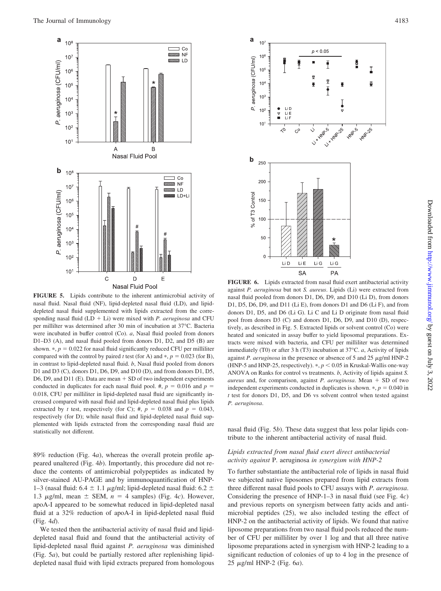

**FIGURE 5.** Lipids contribute to the inherent antimicrobial activity of nasal fluid. Nasal fluid (NF), lipid-depleted nasal fluid (LD), and lipiddepleted nasal fluid supplemented with lipids extracted from the corresponding nasal fluid  $(LD + Li)$  were mixed with *P. aeruginosa* and CFU per millilter was determined after 30 min of incubation at 37°C. Bacteria were incubated in buffer control (Co). *a*, Nasal fluid pooled from donors D1–D3 (A), and nasal fluid pooled from donors D1, D2, and D5 (B) are shown.  $\ast$ ,  $p = 0.022$  for nasal fluid significantly reduced CFU per milliliter compared with the control by paired *t* test (for A) and  $*, p = 0.023$  (for B), in contrast to lipid-depleted nasal fluid. *b*, Nasal fluid pooled from donors D1 and D3 (C), donors D1, D6, D9, and D10 (D), and from donors D1, D5, D6, D9, and D11 (E). Data are mean + SD of two independent experiments conducted in duplicates for each nasal fluid pool. #,  $p = 0.016$  and  $p =$ 0.018, CFU per milliliter in lipid-depleted nasal fluid are significantly increased compared with nasal fluid and lipid-depleted nasal fluid plus lipids extracted by *t* test, respectively (for C); #,  $p = 0.038$  and  $p = 0.043$ , respectively (for D); while nasal fluid and lipid-depleted nasal fluid supplemented with lipids extracted from the corresponding nasal fluid are statistically not different.

89% reduction (Fig. 4*a*), whereas the overall protein profile appeared unaltered (Fig. 4*b*). Importantly, this procedure did not reduce the contents of antimicrobial polypeptides as indicated by silver-stained AU-PAGE and by immunoquantification of HNP-1–3 (nasal fluid: 6.4  $\pm$  1.1  $\mu$ g/ml; lipid-depleted nasal fluid: 6.2  $\pm$ 1.3  $\mu$ g/ml, mean  $\pm$  SEM,  $n = 4$  samples) (Fig. 4*c*). However, apoA-I appeared to be somewhat reduced in lipid-depleted nasal fluid at a 32% reduction of apoA-I in lipid-depleted nasal fluid (Fig. 4*d*).

We tested then the antibacterial activity of nasal fluid and lipiddepleted nasal fluid and found that the antibacterial activity of lipid-depleted nasal fluid against *P. aeruginosa* was diminished (Fig. 5*a*), but could be partially restored after replenishing lipiddepleted nasal fluid with lipid extracts prepared from homologous



**FIGURE 6.** Lipids extracted from nasal fluid exert antibacterial activity against *P. aeruginosa* but not *S. aureus*. Lipids (Li) were extracted from nasal fluid pooled from donors D1, D6, D9, and D10 (Li D), from donors D1, D5, D6, D9, and D11 (Li E), from donors D1 and D6 (Li F), and from donors D1, D5, and D6 (Li G). Li C and Li D originate from nasal fluid pool from donors D3 (C) and donors D1, D6, D9, and D10 (D), respectively, as described in Fig. 5. Extracted lipids or solvent control (Co) were heated and sonicated in assay buffer to yield liposomal preparations. Extracts were mixed with bacteria, and CFU per milliliter was determined immediately (T0) or after 3 h (T3) incubation at 37°C. *a*, Activity of lipids against *P. aeruginosa* in the presence or absence of 5 and 25  $\mu$ g/ml HNP-2 (HNP-5 and HNP-25, respectively).  $*, p < 0.05$  in Kruskal-Wallis one-way ANOVA on Ranks for control vs treatments. *b*, Activity of lipids against *S. aureus* and, for comparison, against *P. aeruginosa*. Mean  $+$  SD of two independent experiments conducted in duplicates is shown.  $\ast$ ,  $p = 0.040$  in *t* test for donors D1, D5, and D6 vs solvent control when tested against *P. aeruginosa*.

nasal fluid (Fig. 5*b*). These data suggest that less polar lipids contribute to the inherent antibacterial activity of nasal fluid.

# *Lipids extracted from nasal fluid exert direct antibacterial activity against* P. aeruginosa *in synergism with HNP-2*

To further substantiate the antibacterial role of lipids in nasal fluid we subjected native liposomes prepared from lipid extracts from three different nasal fluid pools to CFU assays with *P. aeruginosa*. Considering the presence of HNP-1–3 in nasal fluid (see Fig. 4*c*) and previous reports on synergism between fatty acids and antimicrobial peptides (25), we also included testing the effect of HNP-2 on the antibacterial activity of lipids. We found that native liposome preparations from two nasal fluid pools reduced the number of CFU per milliliter by over 1 log and that all three native liposome preparations acted in synergism with HNP-2 leading to a significant reduction of colonies of up to 4 log in the presence of 25 g/ml HNP-2 (Fig. 6*a*).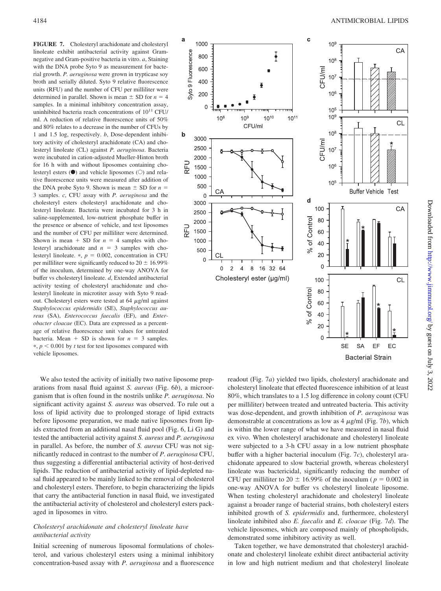**FIGURE 7.** Cholesteryl arachidonate and cholesteryl linoleate exhibit antibacterial activity against Gramnegative and Gram-positive bacteria in vitro. *a*, Staining with the DNA probe Syto 9 as measurement for bacterial growth. *P. aeruginosa* were grown in trypticase soy broth and serially diluted. Syto 9 relative fluorescence units (RFU) and the number of CFU per milliliter were determined in parallel. Shown is mean  $\pm$  SD for  $n = 4$ samples. In a minimal inhibitory concentration assay, uninhibited bacteria reach concentrations of  $10^{11}$  CFU/ ml. A reduction of relative fluorescence units of 50% and 80% relates to a decrease in the number of CFUs by 1 and 1.5 log, respectively. *b*, Dose-dependent inhibitory activity of cholesteryl arachidonate (CA) and cholesteryl linoleate (CL) against *P. aeruginosa*. Bacteria were incubated in cation-adjusted Mueller-Hinton broth for 16 h with and without liposomes containing cholesteryl esters  $\left( \bullet \right)$  and vehicle liposomes  $\left( \circ \right)$  and relative fluorescence units were measured after addition of the DNA probe Syto 9. Shown is mean  $\pm$  SD for  $n =$ 3 samples. *c*, CFU assay with *P. aeruginosa* and the cholesteryl esters cholesteryl arachidonate and cholesteryl linoleate. Bacteria were incubated for 3 h in saline-supplemented, low-nutrient phosphate buffer in the presence or absence of vehicle, and test liposomes and the number of CFU per milliliter were determined. Shown is mean  $+$  SD for  $n = 4$  samples with cholesteryl arachidonate and  $n = 3$  samples with cholesteryl linoleate.  $*, p = 0.002$ , concentration in CFU per milliliter were significantly reduced to  $20 \pm 16.99\%$ of the inoculum, determined by one-way ANOVA for buffer vs cholesteryl linoleate. *d*, Extended antibacterial activity testing of cholesteryl arachidonate and cholesteryl linoleate in microtiter assay with Syto 9 readout. Cholesteryl esters were tested at  $64 \mu g/ml$  against *Staphylococcus epidermidis* (SE), *Staphylococcus aureus* (SA), *Enterococcus faecalis* (EF), and *Enterobacter cloacae* (EC). Data are expressed as a percentage of relative fluorescence unit values for untreated bacteria. Mean  $+$  SD is shown for  $n = 3$  samples.  $*, p < 0.001$  by *t* test for test liposomes compared with vehicle liposomes.

We also tested the activity of initially two native liposome preparations from nasal fluid against *S. aureus* (Fig. 6*b*), a microorganism that is often found in the nostrils unlike *P. aeruginosa*. No significant activity against *S. aureus* was observed. To rule out a loss of lipid activity due to prolonged storage of lipid extracts before liposome preparation, we made native liposomes from lipids extracted from an additional nasal fluid pool (Fig. 6, Li G) and tested the antibacterial activity against *S. aureus* and *P. aeruginosa* in parallel. As before, the number of *S. aureus* CFU was not significantly reduced in contrast to the number of *P. aeruginosa* CFU, thus suggesting a differential antibacterial activity of host-derived lipids. The reduction of antibacterial activity of lipid-depleted nasal fluid appeared to be mainly linked to the removal of cholesterol and cholesteryl esters. Therefore, to begin characterizing the lipids that carry the antibacterial function in nasal fluid, we investigated the antibacterial activity of cholesterol and cholesteryl esters packaged in liposomes in vitro.

# *Cholesteryl arachidonate and cholesteryl linoleate have antibacterial activity*

Initial screening of numerous liposomal formulations of cholesterol, and various cholesteryl esters using a minimal inhibitory concentration-based assay with *P. aeruginosa* and a fluorescence



readout (Fig. 7*a*) yielded two lipids, cholesteryl arachidonate and cholesteryl linoleate that effected fluorescence inhibition of at least 80%, which translates to a 1.5 log difference in colony count (CFU per milliliter) between treated and untreated bacteria. This activity was dose-dependent, and growth inhibition of *P. aeruginosa* was demonstrable at concentrations as low as  $4 \mu g/ml$  (Fig. 7*b*), which is within the lower range of what we have measured in nasal fluid ex vivo. When cholesteryl arachidonate and cholesteryl linoleate were subjected to a 3-h CFU assay in a low nutrient phosphate buffer with a higher bacterial inoculum (Fig. 7*c*), cholesteryl arachidonate appeared to slow bacterial growth, whereas cholesteryl linoleate was bactericidal, significantly reducing the number of CFU per milliliter to 20  $\pm$  16.99% of the inoculum ( $p = 0.002$  in one-way ANOVA for buffer vs cholesteryl linoleate liposome. When testing cholesteryl arachidonate and cholesteryl linoleate against a broader range of bacterial strains, both cholesteryl esters inhibited growth of *S. epidermidis* and, furthermore, cholesteryl linoleate inhibited also *E. faecalis* and *E. cloacae* (Fig. 7*d*). The vehicle liposomes, which are composed mainly of phospholipids, demonstrated some inhibitory activity as well.

Taken together, we have demonstrated that cholesteryl arachidonate and cholesteryl linoleate exhibit direct antibacterial activity in low and high nutrient medium and that cholesteryl linoleate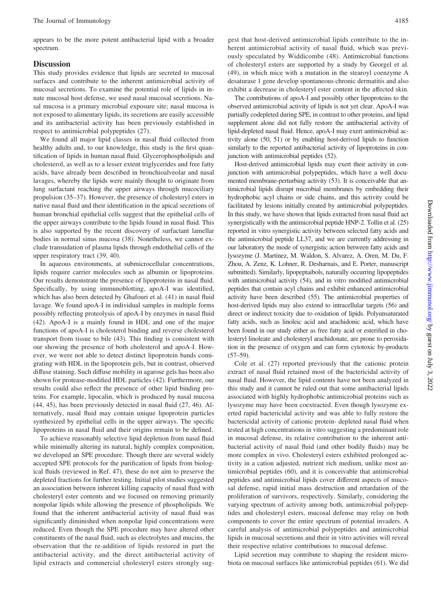appears to be the more potent antibacterial lipid with a broader spectrum.

# **Discussion**

This study provides evidence that lipids are secreted to mucosal surfaces and contribute to the inherent antimicrobial activity of mucosal secretions. To examine the potential role of lipids in innate mucosal host defense, we used nasal mucosal secretions. Nasal mucosa is a primary microbial exposure site; nasal mucosa is not exposed to alimentary lipids, its secretions are easily accessible and its antibacterial activity has been previously established in respect to antimicrobial polypeptides (27).

We found all major lipid classes in nasal fluid collected from healthy adults and, to our knowledge, this study is the first quantification of lipids in human nasal fluid. Glycerophospholipids and cholesterol, as well as to a lesser extent triglycerides and free fatty acids, have already been described in bronchioalveolar and nasal lavages, whereby the lipids were mainly thought to originate from lung surfactant reaching the upper airways through mucociliary propulsion (35–37). However, the presence of cholesteryl esters in native nasal fluid and their identification in the apical secretions of human bronchial epithelial cells suggest that the epithelial cells of the upper airways contribute to the lipids found in nasal fluid. This is also supported by the recent discovery of surfactant lamellar bodies in normal sinus mucosa (38). Nonetheless, we cannot exclude transudation of plasma lipids through endothelial cells of the upper respiratory tract (39, 40).

In aqueous environments, at submicrocellular concentrations, lipids require carrier molecules such as albumin or lipoproteins. Our results demonstrate the presence of lipoproteins in nasal fluid. Specifically, by using immunoblotting, apoA-I was identified, which has also been detected by Ghafouri et al. (41) in nasal fluid lavage. We found apoA-I in individual samples in multiple forms possibly reflecting proteolysis of apoA-I by enzymes in nasal fluid (42). ApoA-I is a mainly found in HDL and one of the major functions of apoA-I is cholesterol binding and reverse cholesterol transport from tissue to bile (43). This finding is consistent with our showing the presence of both cholesterol and apoA-I. However, we were not able to detect distinct lipoprotein bands comigrating with HDL in the lipoprotein gels, but in contrast, observed diffuse staining. Such diffuse mobility in agarose gels has been also shown for protease-modified HDL particles (42). Furthermore, our results could also reflect the presence of other lipid binding proteins. For example, lipocalin, which is produced by nasal mucosa (44, 45), has been previously detected in nasal fluid (27, 46). Alternatively, nasal fluid may contain unique lipoprotein particles synthesized by epithelial cells in the upper airways. The specific lipoproteins in nasal fluid and their origins remain to be defined.

To achieve reasonably selective lipid depletion from nasal fluid while minimally altering its natural, highly complex composition, we developed an SPE procedure. Though there are several widely accepted SPE protocols for the purification of lipids from biological fluids (reviewed in Ref. 47), these do not aim to preserve the depleted fractions for further testing. Initial pilot studies suggested an association between inherent killing capacity of nasal fluid with cholesteryl ester contents and we focused on removing primarily nonpolar lipids while allowing the presence of phospholipids. We found that the inherent antibacterial activity of nasal fluid was significantly diminished when nonpolar lipid concentrations were reduced. Even though the SPE procedure may have altered other constituents of the nasal fluid, such as electrolytes and mucins, the observation that the re-addition of lipids restored in part the antibacterial activity, and the direct antibacterial activity of lipid extracts and commercial cholesteryl esters strongly sugherent antimicrobial activity of nasal fluid, which was previously speculated by Widdicombe (48). Antimicrobial functions of cholesteryl esters are supported by a study by Georgel et al. (49), in which mice with a mutation in the stearoyl coenzyme A desaturase 1 gene develop spontaneous chronic dermatitis and also exhibit a decrease in cholesteryl ester content in the affected skin.

The contributions of apoA-I and possibly other lipoproteins to the observed antimicrobial activity of lipids is not yet clear. ApoA-I was partially codepleted during SPE, in contrast to other proteins, and lipid supplement alone did not fully restore the antibacterial activity of lipid-depleted nasal fluid. Hence, apoA-I may exert antimicrobial activity alone (50, 51) or by enabling host-derived lipids to function similarly to the reported antibacterial activity of lipoproteins in conjunction with antimicrobial peptides (52).

Host-derived antimicrobial lipids may exert their activity in conjunction with antimicrobial polypeptides, which have a well documented membrane-perturbing activity (53). It is conceivable that antimicrobial lipids disrupt microbial membranes by embedding their hydrophobic acyl chains or side chains, and this activity could be facilitated by lesions initially created by antimicrobial polypeptides. In this study, we have shown that lipids extracted from nasal fluid act synergistically with the antimicrobial peptide HNP-2. Tollin et al. (25) reported in vitro synergistic activity between selected fatty acids and the antimicrobial peptide LL37, and we are currently addressing in our laboratory the mode of synergistic action between fatty acids and lysozyme (J. Martinez, M. Waldon, S. Alvarez, A. Oren, M. Du, F. Zhou, A. Zenz, K. Lohner, R. Desharnais, and E. Porter, manuscript submitted). Similarly, lipopeptaibols, naturally occurring lipopeptides with antimicrobial activity (54), and in vitro modified antimicrobial peptides that contain acyl chains and exhibit enhanced antimicrobial activity have been described (55). The antimicrobial properties of host-derived lipids may also extend to intracellular targets (56) and direct or indirect toxicity due to oxidation of lipids. Polyunsaturated fatty acids, such as linoleic acid and arachidonic acid, which have been found in our study either as free fatty acid or esterified in cholesteryl linoleate and cholesteryl arachidonate, are prone to peroxidation in the presence of oxygen and can form cytotoxic by-products  $(57–59)$ .

Cole et al. (27) reported previously that the cationic protein extract of nasal fluid retained most of the bactericidal activity of nasal fluid. However, the lipid contents have not been analyzed in this study and it cannot be ruled out that some antibacterial lipids associated with highly hydrophobic antimicrobial proteins such as lysozyme may have been coextracted. Even though lysozyme exerted rapid bactericidal activity and was able to fully restore the bactericidal activity of cationic protein- depleted nasal fluid when tested at high concentrations in vitro suggesting a predominant role in mucosal defense, its relative contribution to the inherent antibacterial activity of nasal fluid (and other bodily fluids) may be more complex in vivo. Cholesteryl esters exhibited prolonged activity in a cation adjusted, nutrient rich medium, unlike most antimicrobial peptides (60), and it is conceivable that antimicrobial peptides and antimicrobial lipids cover different aspects of mucosal defense, rapid initial mass destruction and retardation of the proliferation of survivors, respectively. Similarly, considering the varying spectrum of activity among both, antimicrobial polypeptides and cholesteryl esters, mucosal defense may relay on both components to cover the entire spectrum of potential invaders. A careful analysis of antimicrobial polypeptides and antimicrobial lipids in mucosal secretions and their in vitro activities will reveal their respective relative contributions to mucosal defense.

Lipid secretion may contribute to shaping the resident microbiota on mucosal surfaces like antimicrobial peptides (61). We did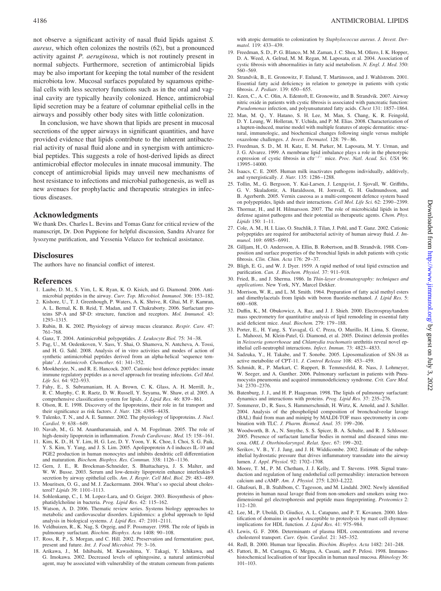not observe a significant activity of nasal fluid lipids against *S. aureus*, which often colonizes the nostrils (62), but a pronounced activity against *P. aeruginosa*, which is not routinely present in normal subjects. Furthermore, secretion of antimicrobial lipids may be also important for keeping the total number of the resident microbiota low. Mucosal surfaces populated by squamous epithelial cells with less secretory functions such as in the oral and vaginal cavity are typically heavily colonized. Hence, antimicrobial lipid secretion may be a feature of columnar epithelial cells in the airways and possibly other body sites with little colonization.

In conclusion, we have shown that lipids are present in mucosal secretions of the upper airways in significant quantities, and have provided evidence that lipids contribute to the inherent antibacterial activity of nasal fluid alone and in synergism with antimicrobial peptides. This suggests a role of host-derived lipids as direct antimicrobial effector molecules in innate mucosal immunity. The concept of antimicrobial lipids may unveil new mechanisms of host resistance to infections and microbial pathogenesis, as well as new avenues for prophylactic and therapeutic strategies in infectious diseases.

# **Acknowledgments**

We thank Drs. Charles L. Bevins and Tomas Ganz for critical review of the manuscript, Dr. Don Puppione for helpful discussion, Sandra Alvarez for lysozyme purification, and Yessenia Velazco for technical assistance.

#### **Disclosures**

The authors have no financial conflict of interest.

#### **References**

- 1. Laube, D. M., S. Yim, L. K. Ryan, K. O. Kisich, and G. Diamond. 2006. Antimicrobial peptides in the airway. *Curr. Top. Microbiol. Immunol.* 306: 153–182.
- 2. Kishore, U., T. J. Greenhough, P. Waters, A. K. Shrive, R. Ghai, M. F. Kamran, A. L. Bernal, K. B. Reid, T. Madan, and T. Chakraborty. 2006. Surfactant proteins SP-A and SP-D: structure, function and receptors. *Mol. Immunol.* 43: 1293–1315.
- 3. Rubin, B. K. 2002. Physiology of airway mucus clearance. *Respir. Care.* 47: 761–768.
- 4. Ganz, T. 2004. Antimicrobial polypeptides. *J. Leukocyte Biol.* 75: 34 –38.
- 5. Pag, U., M. Oedenkoven, V. Sass, Y. Shai, O. Shamova, N. Antcheva, A. Tossi, and H. G. Sahl. 2008. Analysis of in vitro activities and modes of action of synthetic antimicrobial peptides derived from an alpha-helical 'sequence template'. *J. Antimicrob. Chemother.* 61: 341–352.
- 6. Mookherjee, N., and R. E. Hancock. 2007. Cationic host defence peptides: innate immune regulatory peptides as a novel approach for treating infections. *Cell Mol. Life Sci.* 64: 922–933.
- 7. Fahy, E., S. Subramaniam, H. A. Brown, C. K. Glass, A. H. Merrill, Jr., R. C. Murphy, C. R. Raetz, D. W. Russell, Y. Seyama, W. Shaw, et al. 2005. A comprehensive classification system for lipids. *J. Lipid Res*. 46: 839-861.
- 8. Olson, R. E. 1998. Discovery of the lipoproteins, their role in fat transport and their significance as risk factors. *J. Nutr.* 128: 439S– 443S.
- 9. Tulenko, T. N., and A. E. Sumner. 2002. The physiology of lipoproteins. *J. Nucl.* Cardiol. 9: 638-649.
- 10. Navab, M., G. M. Anantharamaiah, and A. M. Fogelman. 2005. The role of high-density lipoprotein in inflammation. *Trends Cardiovasc. Med.* 15: 158 –161.
- 11. Kim, K. D., H. Y. Lim, H. G. Lee, D. Y. Yoon, Y. K. Choe, I. Choi, S. G. Paik, Y. S. Kim, Y. Yang, and J. S. Lim. 2005. Apolipoprotein A-I induces IL-10 and PGE2 production in human monocytes and inhibits dendritic cell differentiation and maturation. *Biochem. Biophys. Res. Commun.* 338: 1126-1136.
- 12. Gern, J. E., R. Brockman-Schneider, S. Bhattacharya, J. S. Malter, and W. W. Busse. 2003. Serum and low-density lipoprotein enhance interleukin-8 secretion by airway epithelial cells. Am. J. Respir. Cell Mol. Biol. 29: 483-489.
- 13. Mouritsen, O. G., and M. J. Zuckermann. 2004. What's so special about cholesterol? *Lipids* 39: 1101–1113.
- 14. Sohlenkamp, C., I. M. Lopez-Lara, and O. Geiger. 2003. Biosynthesis of phosphatidylcholine in bacteria. *Prog. Lipid Res.* 42: 115–162.
- 15. Watson, A. D. 2006. Thematic review series. Systems biology approaches to metabolic and cardiovascular disorders. Lipidomics: a global approach to lipid analysis in biological systems. *J. Lipid Res.* 47: 2101–2111.
- 16. Veldhuizen, R., K. Nag, S. Orgeig, and F. Possmayer. 1998. The role of lipids in pulmonary surfactant. *Biochim. Biophys. Acta* 1408: 90 –108.
- 17. Ross, R. P., S. Morgan, and C. Hill. 2002. Preservation and fermentation: past, present and future. *Int. J. Food Microbiol.* 79: 3–16.
- 18. Arikawa, J., M. Ishibashi, M. Kawashima, Y. Takagi, Y. Ichikawa, and G. Imokawa. 2002. Decreased levels of sphingosine, a natural antimicrobial agent, may be associated with vulnerability of the stratum corneum from patients

with atopic dermatitis to colonization by *Staphylococcus aureus*. *J. Invest. Dermatol.* 119: 433– 439.

- 19. Freedman, S. D., P. G. Blanco, M. M. Zaman, J. C. Shea, M. Ollero, I. K. Hopper, D. A. Weed, A. Gelrud, M. M. Regan, M. Laposata, et al. 2004. Association of cystic fibrosis with abnormalities in fatty acid metabolism. *N. Engl. J. Med.* 350: 560 –569.
- 20. Strandvik, B., E. Gronowitz, F. Enlund, T. Martinsson, and J. Wahlstrom. 2001. Essential fatty acid deficiency in relation to genotype in patients with cystic fibrosis. *J. Pediatr.* 139: 650 – 655.
- 21. Keen, C., A. C. Olin, A. Edentoft, E. Gronowitz, and B. Strandvik. 2007. Airway nitric oxide in patients with cystic fibrosis is associated with pancreatic function: *Pseudomonas* infection, and polyunsaturated fatty acids. *Chest* 131: 1857–1864.
- 22. Man, M. Q., Y. Hatano, S. H. Lee, M. Man, S. Chang, K. R. Feingold, D. Y. Leung, W. Holleran, Y. Uchida, and P. M. Elias. 2008. Characterization of a hapten-induced, murine model with multiple features of atopic dermatitis: structural, immunologic, and biochemical changes following single versus multiple oxazolone challenges. *J. Invest. Dermatol.* 128: 79 – 86.
- 23. Freedman, S. D., M. H. Katz, E. M. Parker, M. Laposata, M. Y. Urman, and J. G. Alvarez. 1999. A membrane lipid imbalance plays a role in the phenotypic expression of cystic fibrosis in cftr<sup>-/-</sup> mice. *Proc. Natl. Acad. Sci. USA* 96: 13995–14000.
- 24. Isaacs, C. E. 2005. Human milk inactivates pathogens individually, additively, and synergistically. *J. Nutr.* 135: 1286 –1288.
- 25. Tollin, M., G. Bergsson, Y. Kai-Larsen, J. Lengqvist, J. Sjovall, W. Griffiths, G. V. Skuladottir, A. Haraldsson, H. Jornvall, G. H. Gudmundsson, and B. Agerberth. 2005. Vernix caseosa as a multi-component defence system based on polypeptides, lipids and their interactions. *Cell Mol. Life Sci.* 62: 2390 –2399.
- 26. Thormar, H., and H. Hilmarsson. 2007. The role of microbicidal lipids in host defense against pathogens and their potential as therapeutic agents. *Chem. Phys. Lipids* 150: 1–11.
- 27. Cole, A. M., H. I. Liao, O. Stuchlik, J. Tilan, J. Pohl, and T. Ganz. 2002. Cationic polypeptides are required for antibacterial activity of human airway fluid. *J. Immunol.* 169: 6985– 6991.
- 28. Gilljam, H., O. Andersson, A. Ellin, B. Robertson, and B. Strandvik. 1988. Composition and surface properties of the bronchial lipids in adult patients with cystic fibrosis. *Clin. Chim. Acta* 176: 29 –37.
- 29. Bligh, E. G., and W. J. Dyer. 1959. A rapid method of total lipid extraction and purification. *Can. J. Biochem. Physiol.* 37: 911–918.
- 30. Fried, B., and J. Sherma. 1986. In *Thin-layer chromatography: techniques and applications*. New York, NY, Marcel Dekker.
- 31. Morrison, W. R., and L. M. Smith. 1964. Preparation of fatty acid methyl esters and dimethylacetals from lipids with boron fluoride-methanol. *J. Lipid Res.* 5:  $600 - 608.$
- 32. Duffin, K., M. Obukowicz, A. Raz, and J. J. Shieh. 2000. Electrospray/tandem mass spectrometry for quantitative analysis of lipid remodeling in essential fatty acid deficient mice. *Anal. Biochem.* 279: 179 –188.
- 33. Porter, E., H. Yang, S. Yavagal, G. C. Preza, O. Murillo, H. Lima, S. Greene, L. Mahoozi, M. Klein-Patel, G. Diamond, et al. 2005. Distinct defensin profiles in *Neisseria gonorrhoeae* and *Chlamydia trachomatis* urethritis reveal novel epithelial cell-neutrophil interactions. *Infect. Immun.* 73: 4823– 4833.
- 34. Sadzuka, Y., H. Takabe, and T. Sonobe. 2005. Liposomalization of SN-38 as active metabolite of CPT-11. *J. Control Release* 108: 453– 459.
- 35. Schmidt, R., P. Markart, C. Ruppert, B. Temmesfeld, R. Nass, J. Lohmeyer, W. Seeger, and A. Gunther. 2006. Pulmonary surfactant in patients with Pneumocystis pneumonia and acquired immunodeficiency syndrome. *Crit. Care Med.* 34: 2370 –2376.
- 36. Batenburg, J. J., and H. P. Haagsman. 1998. The lipids of pulmonary surfactant: dynamics and interactions with proteins. *Prog. Lipid Res.* 37: 235–276.
- 37. Sommerer, D., R. Suss, S. Hammerschmidt, H. Wirtz, K. Arnold, and J. Schiller. 2004. Analysis of the phospholipid composition of bronchoalveolar lavage (BAL) fluid from man and minipig by MALDI-TOF mass spectrometry in combination with TLC. *J. Pharm. Biomed. Anal.* 35: 199 –206.
- 38. Woodworth, B. A., N. Smythe, S. S. Spicer, B. A. Schulte, and R. J. Schlosser. 2005. Presence of surfactant lamellar bodies in normal and diseased sinus mucosa. *ORL J. Otorhinolaryngol. Relat. Spec.* 67: 199 –202.
- 39. Serikov, V. B., Y. J. Jang, and J. H. Widdicombe. 2002. Estimate of the subepithelial hydrostatic pressure that drives inflammatory transudate into the airway lumen. *J. Appl. Physiol.* 92: 1702–1708.
- 40. Moore, T. M., P. M. Chetham, J. J. Kelly, and T. Stevens. 1998. Signal transduction and regulation of lung endothelial cell permeability: interaction between calcium and cAMP. *Am. J. Physiol.* 275: L203–L222.
- 41. Ghafouri, B., B. Stahlbom, C. Tagesson, and M. Lindahl. 2002. Newly identified proteins in human nasal lavage fluid from non-smokers and smokers using twodimensional gel electrophoresis and peptide mass fingerprinting. *Proteomics* 2: 112–120.
- 42. Lee, M., P. Uboldi, D. Giudice, A. L. Catapano, and P. T. Kovanen. 2000. Identification of domains in apoA-I susceptible to proteolysis by mast cell chymase: implications for HDL function. *J. Lipid Res.* 41: 975–984.
- 43. Lewis, G. F. 2006. Determinants of plasma HDL concentrations and reverse cholesterol transport. *Curr. Opin. Cardiol.* 21: 345–352.
- 44. Redl, B. 2000. Human tear lipocalin. *Biochim. Biophys. Acta* 1482: 241–248.
- 45. Fattori, B., M. Castagna, G. Megna, A. Casani, and P. Pelosi. 1998. Immunohistochemical localisation of tear lipocalin in human nasal mucosa. *Rhinology* 36: 101–103.